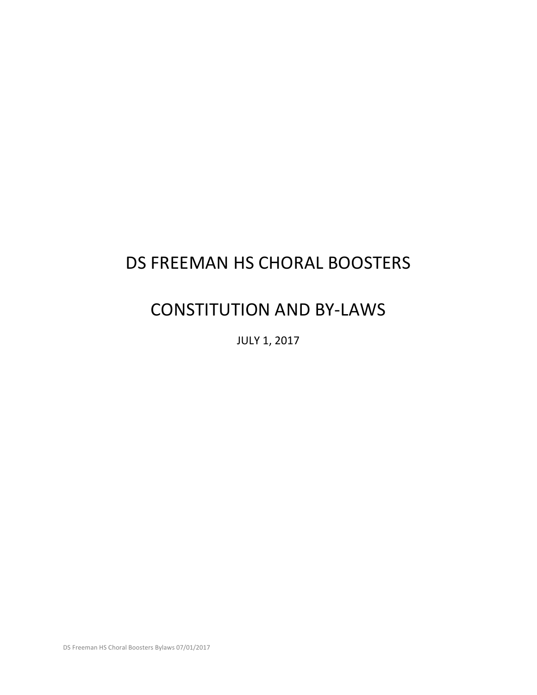# DS FREEMAN HS CHORAL BOOSTERS

# CONSTITUTION AND BY-LAWS

**JULY 1, 2017** 

DS Freeman HS Choral Boosters Bylaws 07/01/2017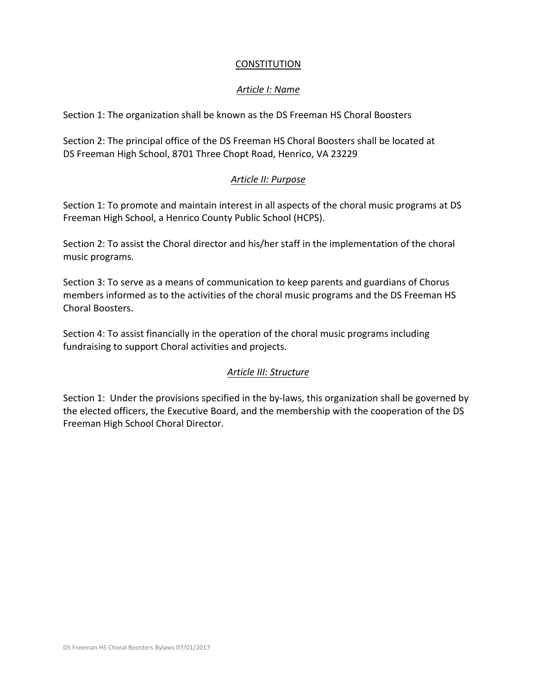### **CONSTITUTION**

# *Article I: Name*

Section 1: The organization shall be known as the DS Freeman HS Choral Boosters

Section 2: The principal office of the DS Freeman HS Choral Boosters shall be located at DS Freeman High School, 8701 Three Chopt Road, Henrico, VA 23229

# *Article II: Purpose*

Section 1: To promote and maintain interest in all aspects of the choral music programs at DS Freeman High School, a Henrico County Public School (HCPS).

Section 2: To assist the Choral director and his/her staff in the implementation of the choral music programs.

Section 3: To serve as a means of communication to keep parents and guardians of Chorus members informed as to the activities of the choral music programs and the DS Freeman HS Choral Boosters.

Section 4: To assist financially in the operation of the choral music programs including fundraising to support Choral activities and projects.

# *Article III: Structure*

Section 1: Under the provisions specified in the by-laws, this organization shall be governed by the elected officers, the Executive Board, and the membership with the cooperation of the DS Freeman High School Choral Director.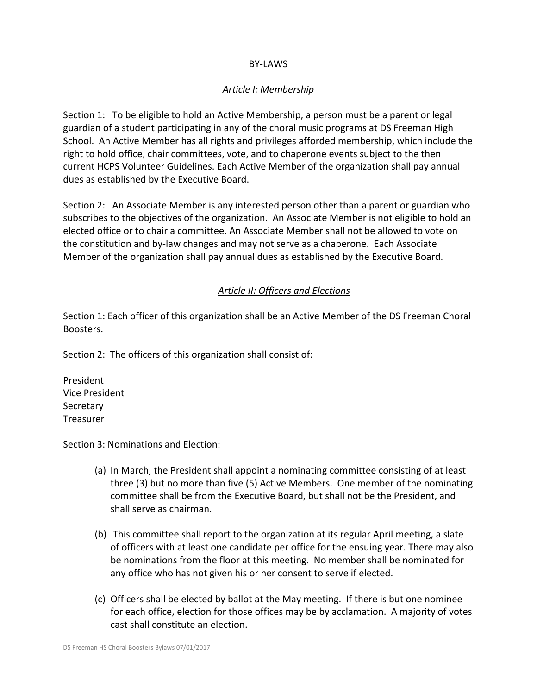## BY-LAWS

## *Article I: Membership*

Section 1: To be eligible to hold an Active Membership, a person must be a parent or legal guardian of a student participating in any of the choral music programs at DS Freeman High School. An Active Member has all rights and privileges afforded membership, which include the right to hold office, chair committees, vote, and to chaperone events subject to the then current HCPS Volunteer Guidelines. Each Active Member of the organization shall pay annual dues as established by the Executive Board.

Section 2: An Associate Member is any interested person other than a parent or guardian who subscribes to the objectives of the organization. An Associate Member is not eligible to hold an elected office or to chair a committee. An Associate Member shall not be allowed to vote on the constitution and by-law changes and may not serve as a chaperone. Each Associate Member of the organization shall pay annual dues as established by the Executive Board.

## *Article II: Officers and Elections*

Section 1: Each officer of this organization shall be an Active Member of the DS Freeman Choral Boosters.

Section 2: The officers of this organization shall consist of:

President Vice President Secretary Treasurer

Section 3: Nominations and Election:

- (a) In March, the President shall appoint a nominating committee consisting of at least three  $(3)$  but no more than five  $(5)$  Active Members. One member of the nominating committee shall be from the Executive Board, but shall not be the President, and shall serve as chairman.
- (b) This committee shall report to the organization at its regular April meeting, a slate of officers with at least one candidate per office for the ensuing year. There may also be nominations from the floor at this meeting. No member shall be nominated for any office who has not given his or her consent to serve if elected.
- (c) Officers shall be elected by ballot at the May meeting. If there is but one nominee for each office, election for those offices may be by acclamation. A majority of votes cast shall constitute an election.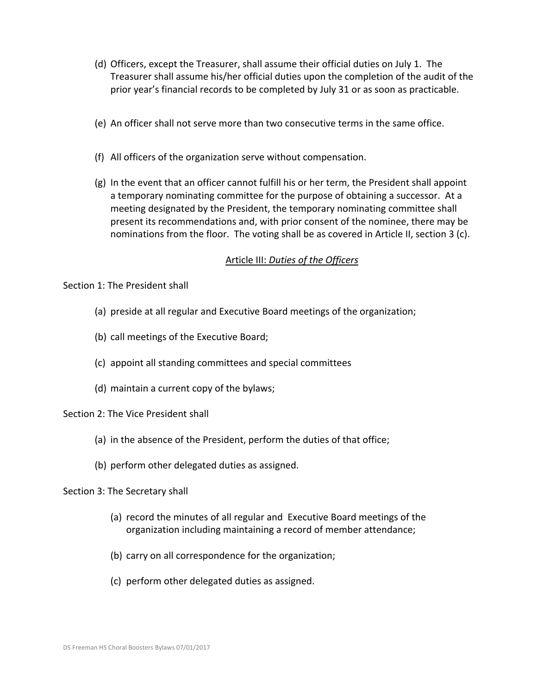- (d) Officers, except the Treasurer, shall assume their official duties on July 1. The Treasurer shall assume his/her official duties upon the completion of the audit of the prior year's financial records to be completed by July 31 or as soon as practicable.
- (e) An officer shall not serve more than two consecutive terms in the same office.
- (f) All officers of the organization serve without compensation.
- $(g)$  In the event that an officer cannot fulfill his or her term, the President shall appoint a temporary nominating committee for the purpose of obtaining a successor. At a meeting designated by the President, the temporary nominating committee shall present its recommendations and, with prior consent of the nominee, there may be nominations from the floor. The voting shall be as covered in Article II, section 3 (c).

#### Article III: Duties of the Officers

Section 1: The President shall

- (a) preside at all regular and Executive Board meetings of the organization;
- (b) call meetings of the Executive Board;
- (c) appoint all standing committees and special committees
- (d) maintain a current copy of the bylaws;

Section 2: The Vice President shall

- (a) in the absence of the President, perform the duties of that office;
- (b) perform other delegated duties as assigned.

#### Section 3: The Secretary shall

- (a) record the minutes of all regular and Executive Board meetings of the organization including maintaining a record of member attendance;
- (b) carry on all correspondence for the organization;
- (c) perform other delegated duties as assigned.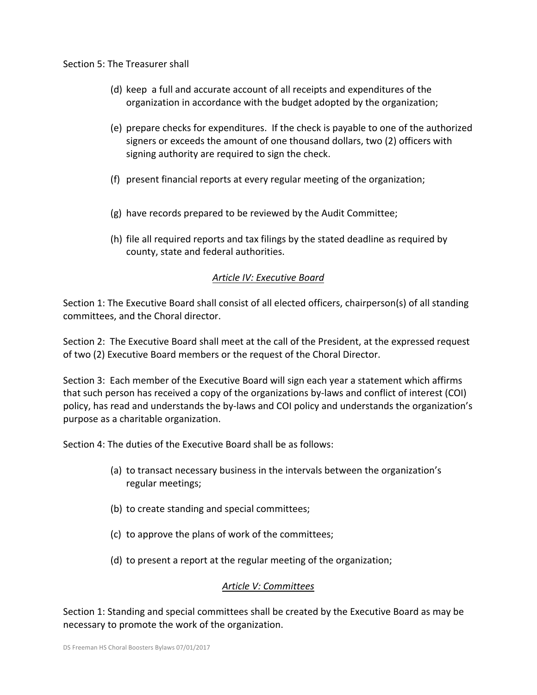#### Section 5: The Treasurer shall

- (d) keep a full and accurate account of all receipts and expenditures of the organization in accordance with the budget adopted by the organization;
- (e) prepare checks for expenditures. If the check is payable to one of the authorized signers or exceeds the amount of one thousand dollars, two (2) officers with signing authority are required to sign the check.
- (f) present financial reports at every regular meeting of the organization;
- $(g)$  have records prepared to be reviewed by the Audit Committee;
- (h) file all required reports and tax filings by the stated deadline as required by county, state and federal authorities.

## **Article IV: Executive Board**

Section 1: The Executive Board shall consist of all elected officers, chairperson(s) of all standing committees, and the Choral director.

Section 2: The Executive Board shall meet at the call of the President, at the expressed request of two (2) Executive Board members or the request of the Choral Director.

Section 3: Each member of the Executive Board will sign each year a statement which affirms that such person has received a copy of the organizations by-laws and conflict of interest (COI) policy, has read and understands the by-laws and COI policy and understands the organization's purpose as a charitable organization.

Section 4: The duties of the Executive Board shall be as follows:

- (a) to transact necessary business in the intervals between the organization's regular meetings;
- (b) to create standing and special committees;
- (c) to approve the plans of work of the committees;
- (d) to present a report at the regular meeting of the organization;

### *Article V: Committees*

Section 1: Standing and special committees shall be created by the Executive Board as may be necessary to promote the work of the organization.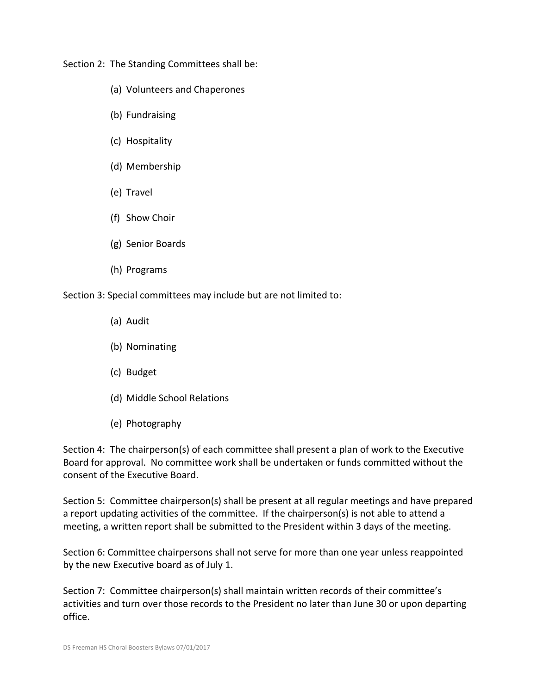Section 2: The Standing Committees shall be:

- (a) Volunteers and Chaperones
- (b) Fundraising
- (c) Hospitality
- (d) Membership
- (e) Travel
- (f) Show Choir
- (g) Senior Boards
- (h) Programs

Section 3: Special committees may include but are not limited to:

- (a) Audit
- (b) Nominating
- (c) Budget
- (d) Middle School Relations
- (e) Photography

Section 4: The chairperson(s) of each committee shall present a plan of work to the Executive Board for approval. No committee work shall be undertaken or funds committed without the consent of the Executive Board.

Section 5: Committee chairperson(s) shall be present at all regular meetings and have prepared a report updating activities of the committee. If the chairperson(s) is not able to attend a meeting, a written report shall be submitted to the President within 3 days of the meeting.

Section 6: Committee chairpersons shall not serve for more than one year unless reappointed by the new Executive board as of July 1.

Section 7: Committee chairperson(s) shall maintain written records of their committee's activities and turn over those records to the President no later than June 30 or upon departing office.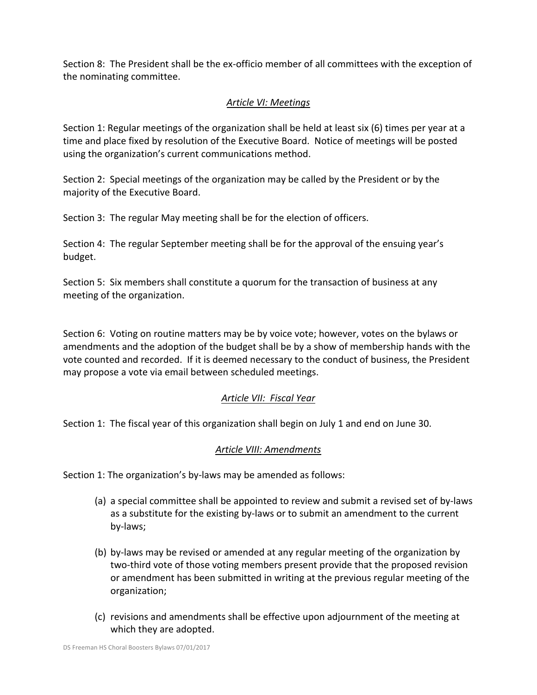Section 8: The President shall be the ex-officio member of all committees with the exception of the nominating committee.

# *Article VI: Meetings*

Section 1: Regular meetings of the organization shall be held at least  $\sin(6)$  times per year at a time and place fixed by resolution of the Executive Board. Notice of meetings will be posted using the organization's current communications method.

Section 2: Special meetings of the organization may be called by the President or by the majority of the Executive Board.

Section 3: The regular May meeting shall be for the election of officers.

Section 4: The regular September meeting shall be for the approval of the ensuing year's budget.

Section 5: Six members shall constitute a quorum for the transaction of business at any meeting of the organization.

Section 6: Voting on routine matters may be by voice vote; however, votes on the bylaws or amendments and the adoption of the budget shall be by a show of membership hands with the vote counted and recorded. If it is deemed necessary to the conduct of business, the President may propose a vote via email between scheduled meetings.

# *Article VII: Fiscal Year*

Section 1: The fiscal year of this organization shall begin on July 1 and end on June 30.

# *Article VIII: Amendments*

Section 1: The organization's by-laws may be amended as follows:

- (a) a special committee shall be appointed to review and submit a revised set of by-laws as a substitute for the existing by-laws or to submit an amendment to the current by-laws;
- (b) by-laws may be revised or amended at any regular meeting of the organization by two-third vote of those voting members present provide that the proposed revision or amendment has been submitted in writing at the previous regular meeting of the organization;
- (c) revisions and amendments shall be effective upon adjournment of the meeting at which they are adopted.